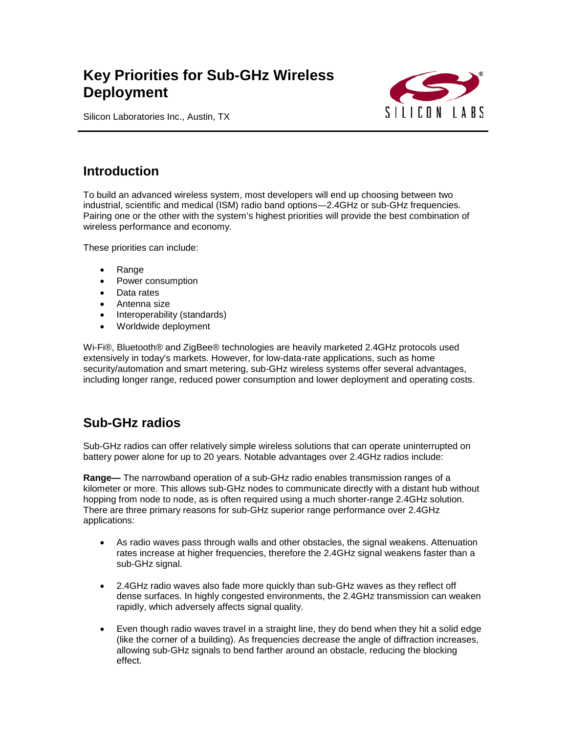# **Key Priorities for Sub-GHz Wireless Deployment**



Silicon Laboratories Inc., Austin, TX

### **Introduction**

To build an advanced wireless system, most developers will end up choosing between two industrial, scientific and medical (ISM) radio band options—2.4GHz or sub-GHz frequencies. Pairing one or the other with the system's highest priorities will provide the best combination of wireless performance and economy.

These priorities can include:

- Range
- Power consumption
- Data rates
- Antenna size
- Interoperability (standards)
- Worldwide deployment

Wi-Fi®, Bluetooth® and ZigBee® technologies are heavily marketed 2.4GHz protocols used extensively in today's markets. However, for low-data-rate applications, such as home security/automation and smart metering, sub-GHz wireless systems offer several advantages, including longer range, reduced power consumption and lower deployment and operating costs.

## **Sub-GHz radios**

Sub-GHz radios can offer relatively simple wireless solutions that can operate uninterrupted on battery power alone for up to 20 years. Notable advantages over 2.4GHz radios include:

**Range—** The narrowband operation of a sub-GHz radio enables transmission ranges of a kilometer or more. This allows sub-GHz nodes to communicate directly with a distant hub without hopping from node to node, as is often required using a much shorter-range 2.4GHz solution. There are three primary reasons for sub-GHz superior range performance over 2.4GHz applications:

- As radio waves pass through walls and other obstacles, the signal weakens. Attenuation rates increase at higher frequencies, therefore the 2.4GHz signal weakens faster than a sub-GHz signal.
- 2.4GHz radio waves also fade more quickly than sub-GHz waves as they reflect off dense surfaces. In highly congested environments, the 2.4GHz transmission can weaken rapidly, which adversely affects signal quality.
- Even though radio waves travel in a straight line, they do bend when they hit a solid edge (like the corner of a building). As frequencies decrease the angle of diffraction increases, allowing sub-GHz signals to bend farther around an obstacle, reducing the blocking effect.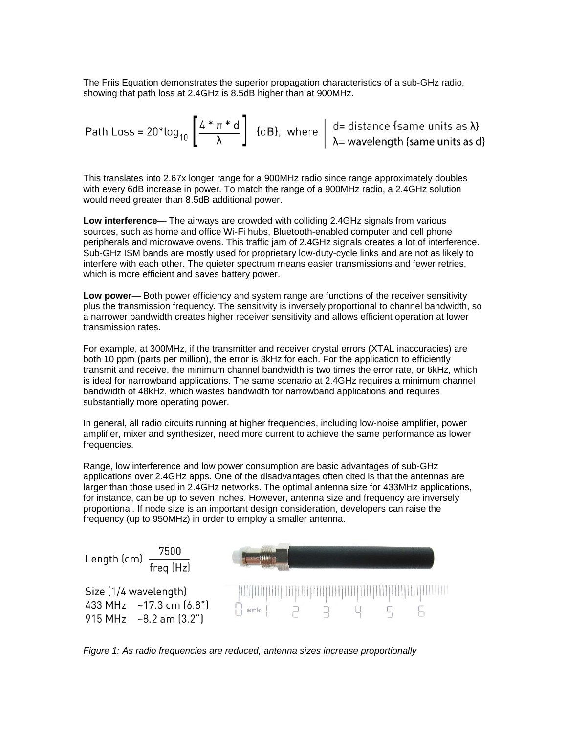The Friis Equation demonstrates the superior propagation characteristics of a sub-GHz radio, showing that path loss at 2.4GHz is 8.5dB higher than at 900MHz.

Path Loss =  $20*log_{10}$   $\left[\frac{4*\pi*d}{\lambda}\right]$  {dB}, where  $\left|\begin{array}{c} d= \text{distance} \text{ same units as } \lambda \text{;} \\ \lambda = \text{wavelength} \text{ (same units as d)} \end{array}\right]$ 

This translates into 2.67x longer range for a 900MHz radio since range approximately doubles with every 6dB increase in power. To match the range of a 900MHz radio, a 2.4GHz solution would need greater than 8.5dB additional power.

**Low interference—** The airways are crowded with colliding 2.4GHz signals from various sources, such as home and office Wi-Fi hubs, Bluetooth-enabled computer and cell phone peripherals and microwave ovens. This traffic jam of 2.4GHz signals creates a lot of interference. Sub-GHz ISM bands are mostly used for proprietary low-duty-cycle links and are not as likely to interfere with each other. The quieter spectrum means easier transmissions and fewer retries, which is more efficient and saves battery power.

**Low power—** Both power efficiency and system range are functions of the receiver sensitivity plus the transmission frequency. The sensitivity is inversely proportional to channel bandwidth, so a narrower bandwidth creates higher receiver sensitivity and allows efficient operation at lower transmission rates.

For example, at 300MHz, if the transmitter and receiver crystal errors (XTAL inaccuracies) are both 10 ppm (parts per million), the error is 3kHz for each. For the application to efficiently transmit and receive, the minimum channel bandwidth is two times the error rate, or 6kHz, which is ideal for narrowband applications. The same scenario at 2.4GHz requires a minimum channel bandwidth of 48kHz, which wastes bandwidth for narrowband applications and requires substantially more operating power.

In general, all radio circuits running at higher frequencies, including low-noise amplifier, power amplifier, mixer and synthesizer, need more current to achieve the same performance as lower frequencies.

Range, low interference and low power consumption are basic advantages of sub-GHz applications over 2.4GHz apps. One of the disadvantages often cited is that the antennas are larger than those used in 2.4GHz networks. The optimal antenna size for 433MHz applications, for instance, can be up to seven inches. However, antenna size and frequency are inversely proportional. If node size is an important design consideration, developers can raise the frequency (up to 950MHz) in order to employ a smaller antenna.



*Figure 1: As radio frequencies are reduced, antenna sizes increase proportionally*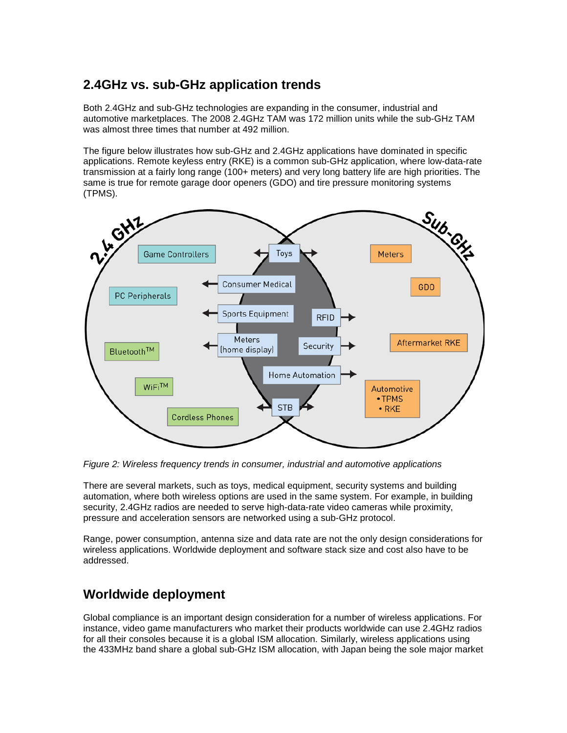## **2.4GHz vs. sub-GHz application trends**

Both 2.4GHz and sub-GHz technologies are expanding in the consumer, industrial and automotive marketplaces. The 2008 2.4GHz TAM was 172 million units while the sub-GHz TAM was almost three times that number at 492 million.

The figure below illustrates how sub-GHz and 2.4GHz applications have dominated in specific applications. Remote keyless entry (RKE) is a common sub-GHz application, where low-data-rate transmission at a fairly long range (100+ meters) and very long battery life are high priorities. The same is true for remote garage door openers (GDO) and tire pressure monitoring systems (TPMS).



*Figure 2: Wireless frequency trends in consumer, industrial and automotive applications*

There are several markets, such as toys, medical equipment, security systems and building automation, where both wireless options are used in the same system. For example, in building security, 2.4GHz radios are needed to serve high-data-rate video cameras while proximity, pressure and acceleration sensors are networked using a sub-GHz protocol.

Range, power consumption, antenna size and data rate are not the only design considerations for wireless applications. Worldwide deployment and software stack size and cost also have to be addressed.

## **Worldwide deployment**

Global compliance is an important design consideration for a number of wireless applications. For instance, video game manufacturers who market their products worldwide can use 2.4GHz radios for all their consoles because it is a global ISM allocation. Similarly, wireless applications using the 433MHz band share a global sub-GHz ISM allocation, with Japan being the sole major market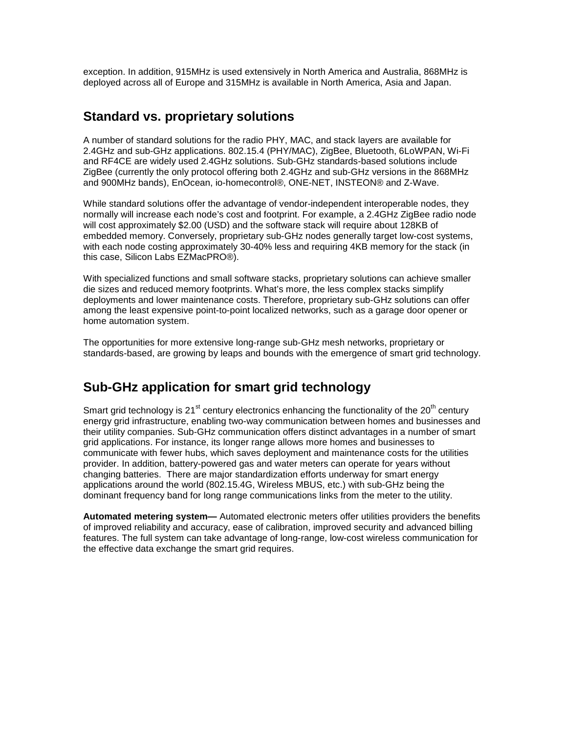exception. In addition, 915MHz is used extensively in North America and Australia, 868MHz is deployed across all of Europe and 315MHz is available in North America, Asia and Japan.

#### **Standard vs. proprietary solutions**

A number of standard solutions for the radio PHY, MAC, and stack layers are available for 2.4GHz and sub-GHz applications. 802.15.4 (PHY/MAC), ZigBee, Bluetooth, 6LoWPAN, Wi-Fi and RF4CE are widely used 2.4GHz solutions. Sub-GHz standards-based solutions include ZigBee (currently the only protocol offering both 2.4GHz and sub-GHz versions in the 868MHz and 900MHz bands), EnOcean, io-homecontrol®, ONE-NET, INSTEON® and Z-Wave.

While standard solutions offer the advantage of vendor-independent interoperable nodes, they normally will increase each node's cost and footprint. For example, a 2.4GHz ZigBee radio node will cost approximately \$2.00 (USD) and the software stack will require about 128KB of embedded memory. Conversely, proprietary sub-GHz nodes generally target low-cost systems, with each node costing approximately 30-40% less and requiring 4KB memory for the stack (in this case, Silicon Labs EZMacPRO®).

With specialized functions and small software stacks, proprietary solutions can achieve smaller die sizes and reduced memory footprints. What's more, the less complex stacks simplify deployments and lower maintenance costs. Therefore, proprietary sub-GHz solutions can offer among the least expensive point-to-point localized networks, such as a garage door opener or home automation system.

The opportunities for more extensive long-range sub-GHz mesh networks, proprietary or standards-based, are growing by leaps and bounds with the emergence of smart grid technology.

#### **Sub-GHz application for smart grid technology**

Smart grid technology is 21<sup>st</sup> century electronics enhancing the functionality of the 20<sup>th</sup> century energy grid infrastructure, enabling two-way communication between homes and businesses and their utility companies. Sub-GHz communication offers distinct advantages in a number of smart grid applications. For instance, its longer range allows more homes and businesses to communicate with fewer hubs, which saves deployment and maintenance costs for the utilities provider. In addition, battery-powered gas and water meters can operate for years without changing batteries. There are major standardization efforts underway for smart energy applications around the world (802.15.4G, Wireless MBUS, etc.) with sub-GHz being the dominant frequency band for long range communications links from the meter to the utility.

**Automated metering system—** Automated electronic meters offer utilities providers the benefits of improved reliability and accuracy, ease of calibration, improved security and advanced billing features. The full system can take advantage of long-range, low-cost wireless communication for the effective data exchange the smart grid requires.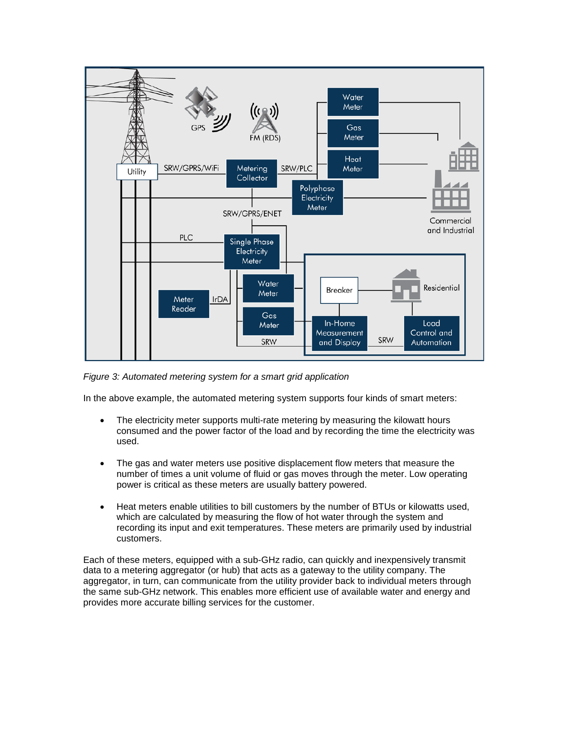

*Figure 3: Automated metering system for a smart grid application*

In the above example, the automated metering system supports four kinds of smart meters:

- The electricity meter supports multi-rate metering by measuring the kilowatt hours consumed and the power factor of the load and by recording the time the electricity was used.
- The gas and water meters use positive displacement flow meters that measure the number of times a unit volume of fluid or gas moves through the meter. Low operating power is critical as these meters are usually battery powered.
- Heat meters enable utilities to bill customers by the number of BTUs or kilowatts used, which are calculated by measuring the flow of hot water through the system and recording its input and exit temperatures. These meters are primarily used by industrial customers.

Each of these meters, equipped with a sub-GHz radio, can quickly and inexpensively transmit data to a metering aggregator (or hub) that acts as a gateway to the utility company. The aggregator, in turn, can communicate from the utility provider back to individual meters through the same sub-GHz network. This enables more efficient use of available water and energy and provides more accurate billing services for the customer.